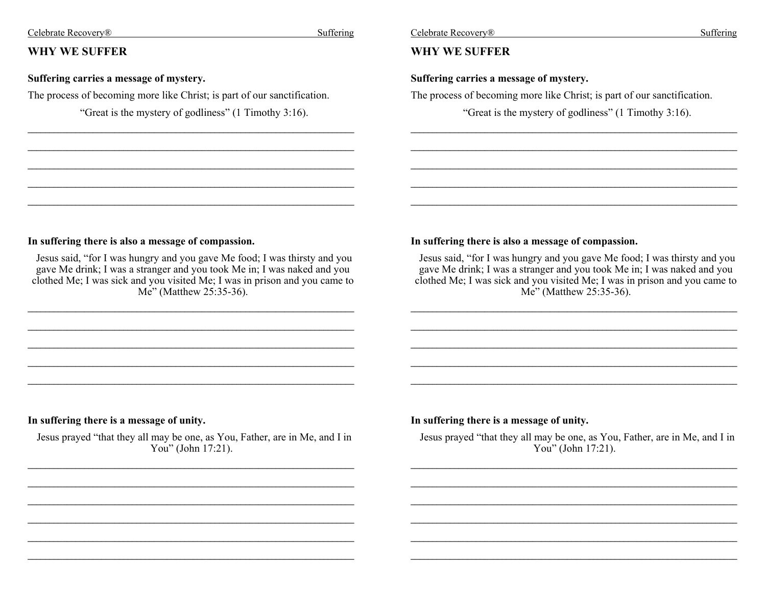#### Celebrate Recovery<sup>®</sup>

# WHY WE SUFFER

### Suffering carries a message of mystery.

The process of becoming more like Christ; is part of our sanctification.

"Great is the mystery of godliness" (1 Timothy 3:16).

Suffering

# **WHY WE SUFFER**

#### Suffering carries a message of mystery.

The process of becoming more like Christ; is part of our sanctification.

"Great is the mystery of godliness" (1 Timothy 3:16).

#### In suffering there is also a message of compassion.

Jesus said, "for I was hungry and you gave Me food; I was thirsty and you gave Me drink; I was a stranger and you took Me in; I was naked and you clothed Me; I was sick and you visited Me; I was in prison and you came to Me" (Matthew 25:35-36).

#### In suffering there is also a message of compassion.

Jesus said, "for I was hungry and you gave Me food; I was thirsty and you gave Me drink; I was a stranger and you took Me in; I was naked and you clothed Me; I was sick and you visited Me; I was in prison and you came to Me" (Matthew  $25:35-36$ ).

# In suffering there is a message of unity.

Jesus prayed "that they all may be one, as You, Father, are in Me, and I in You" (John  $17:21$ ).

#### In suffering there is a message of unity.

Jesus prayed "that they all may be one, as You, Father, are in Me, and I in You" (John  $17:21$ ).